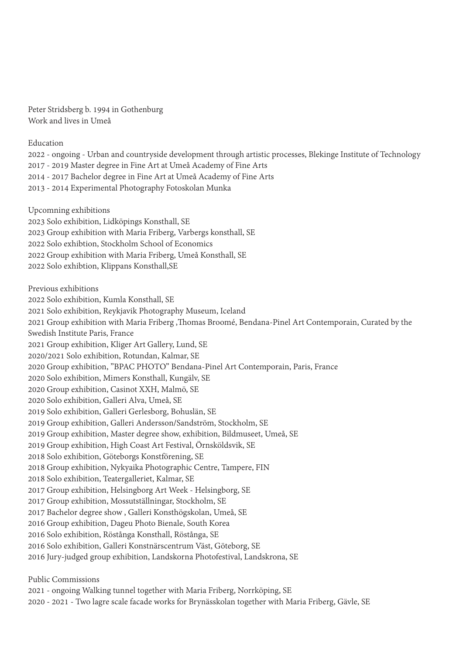Peter Stridsberg b. 1994 in Gothenburg Work and lives in Umeå

Education

2022 - ongoing - Urban and countryside development through artistic processes, Blekinge Institute of Technology 2017 - 2019 Master degree in Fine Art at Umeå Academy of Fine Arts 2014 - 2017 Bachelor degree in Fine Art at Umeå Academy of Fine Arts 2013 - 2014 Experimental Photography Fotoskolan Munka

Upcomning exhibitions 2023 Solo exhibition, Lidköpings Konsthall, SE 2023 Group exhibition with Maria Friberg, Varbergs konsthall, SE 2022 Solo exhibtion, Stockholm School of Economics 2022 Group exhibition with Maria Friberg, Umeå Konsthall, SE 2022 Solo exhibtion, Klippans Konsthall,SE

Previous exhibitions 2022 Solo exhibition, Kumla Konsthall, SE 2021 Solo exhibition, Reykjavik Photography Museum, Iceland 2021 Group exhibition with Maria Friberg ,Thomas Broomé, Bendana-Pinel Art Contemporain, Curated by the Swedish Institute Paris, France 2021 Group exhibition, Kliger Art Gallery, Lund, SE 2020/2021 Solo exhibition, Rotundan, Kalmar, SE 2020 Group exhibition, "BPAC PHOTO" Bendana-Pinel Art Contemporain, Paris, France 2020 Solo exhibition, Mimers Konsthall, Kungälv, SE 2020 Group exhibition, Casinot XXH, Malmö, SE 2020 Solo exhibition, Galleri Alva, Umeå, SE 2019 Solo exhibition, Galleri Gerlesborg, Bohuslän, SE 2019 Group exhibition, Galleri Andersson/Sandström, Stockholm, SE 2019 Group exhibition, Master degree show, exhibition, Bildmuseet, Umeå, SE 2019 Group exhibition, High Coast Art Festival, Örnsköldsvik, SE 2018 Solo exhibition, Göteborgs Konstförening, SE 2018 Group exhibition, Nykyaika Photographic Centre, Tampere, FIN 2018 Solo exhibition, Teatergalleriet, Kalmar, SE 2017 Group exhibition, Helsingborg Art Week - Helsingborg, SE 2017 Group exhibition, Mossutställningar, Stockholm, SE 2017 Bachelor degree show , Galleri Konsthögskolan, Umeå, SE 2016 Group exhibition, Dageu Photo Bienale, South Korea 2016 Solo exhibition, Röstånga Konsthall, Röstånga, SE 2016 Solo exhibition, Galleri Konstnärscentrum Väst, Göteborg, SE 2016 Jury-judged group exhibition, Landskorna Photofestival, Landskrona, SE

Public Commissions

2021 - ongoing Walking tunnel together with Maria Friberg, Norrköping, SE

2020 - 2021 - Two lagre scale facade works for Brynässkolan together with Maria Friberg, Gävle, SE